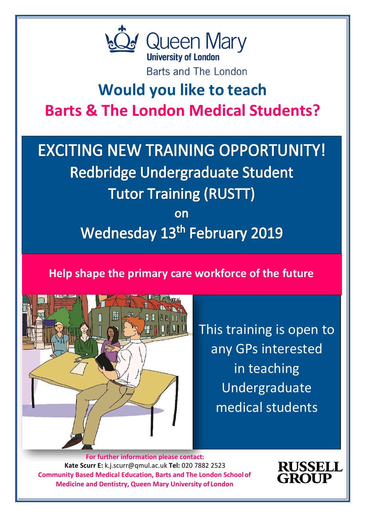

Barts and The London

# **Would you like to teach Barts & The London Medical Students?**

# **EXCITING NEW TRAINING OPPORTUNITY! Redbridge Undergraduate Student Tutor Training (RUSTT)**

on **Wednesday 13th February 2019** 

**Help shape the primary care workforce of the future**



This training is open to any GPs interested in teaching Undergraduate medical students

**Community Based Medical Education, Barts and The London Schoolof Medicine and Dentistry, Queen Mary University of London For further information please contact: Kate Scurr E:** [k.j.scurr@qmul.ac.uk](mailto:k.j.scurr@qmul.ac.uk) **Tel:** 020 7882 2523